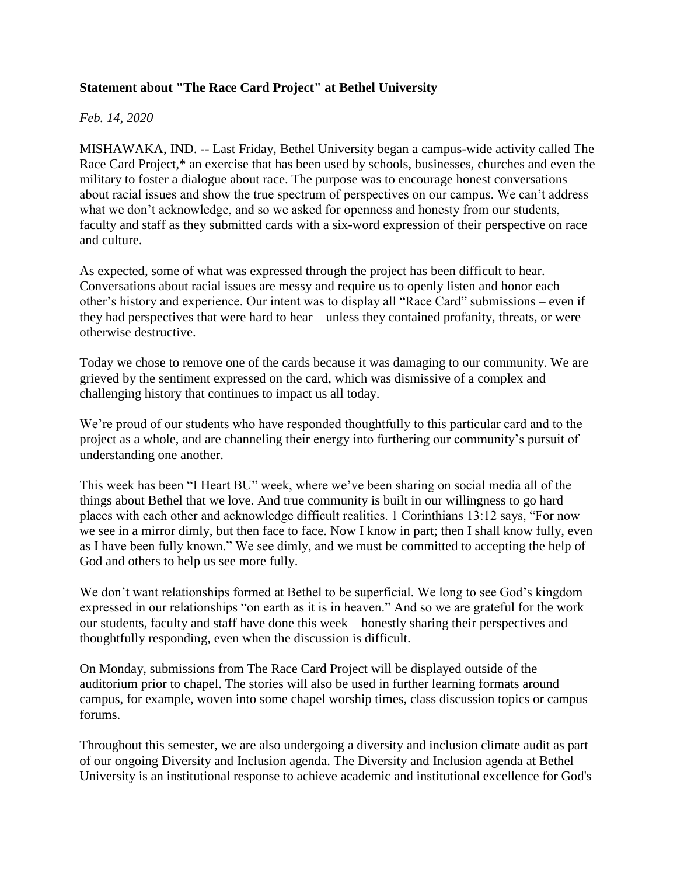## **Statement about "The Race Card Project" at Bethel University**

## *Feb. 14, 2020*

MISHAWAKA, IND. -- Last Friday, Bethel University began a campus-wide activity called The Race Card Project,\* an exercise that has been used by schools, businesses, churches and even the military to foster a dialogue about race. The purpose was to encourage honest conversations about racial issues and show the true spectrum of perspectives on our campus. We can't address what we don't acknowledge, and so we asked for openness and honesty from our students, faculty and staff as they submitted cards with a six-word expression of their perspective on race and culture.

As expected, some of what was expressed through the project has been difficult to hear. Conversations about racial issues are messy and require us to openly listen and honor each other's history and experience. Our intent was to display all "Race Card" submissions – even if they had perspectives that were hard to hear – unless they contained profanity, threats, or were otherwise destructive.

Today we chose to remove one of the cards because it was damaging to our community. We are grieved by the sentiment expressed on the card, which was dismissive of a complex and challenging history that continues to impact us all today.

We're proud of our students who have responded thoughtfully to this particular card and to the project as a whole, and are channeling their energy into furthering our community's pursuit of understanding one another.

This week has been "I Heart BU" week, where we've been sharing on social media all of the things about Bethel that we love. And true community is built in our willingness to go hard places with each other and acknowledge difficult realities. 1 Corinthians 13:12 says, "For now we see in a mirror dimly, but then face to face. Now I know in part; then I shall know fully, even as I have been fully known." We see dimly, and we must be committed to accepting the help of God and others to help us see more fully.

We don't want relationships formed at Bethel to be superficial. We long to see God's kingdom expressed in our relationships "on earth as it is in heaven." And so we are grateful for the work our students, faculty and staff have done this week – honestly sharing their perspectives and thoughtfully responding, even when the discussion is difficult.

On Monday, submissions from The Race Card Project will be displayed outside of the auditorium prior to chapel. The stories will also be used in further learning formats around campus, for example, woven into some chapel worship times, class discussion topics or campus forums.

Throughout this semester, we are also undergoing a diversity and inclusion climate audit as part of our ongoing Diversity and Inclusion agenda. The Diversity and Inclusion agenda at Bethel University is an institutional response to achieve academic and institutional excellence for God's